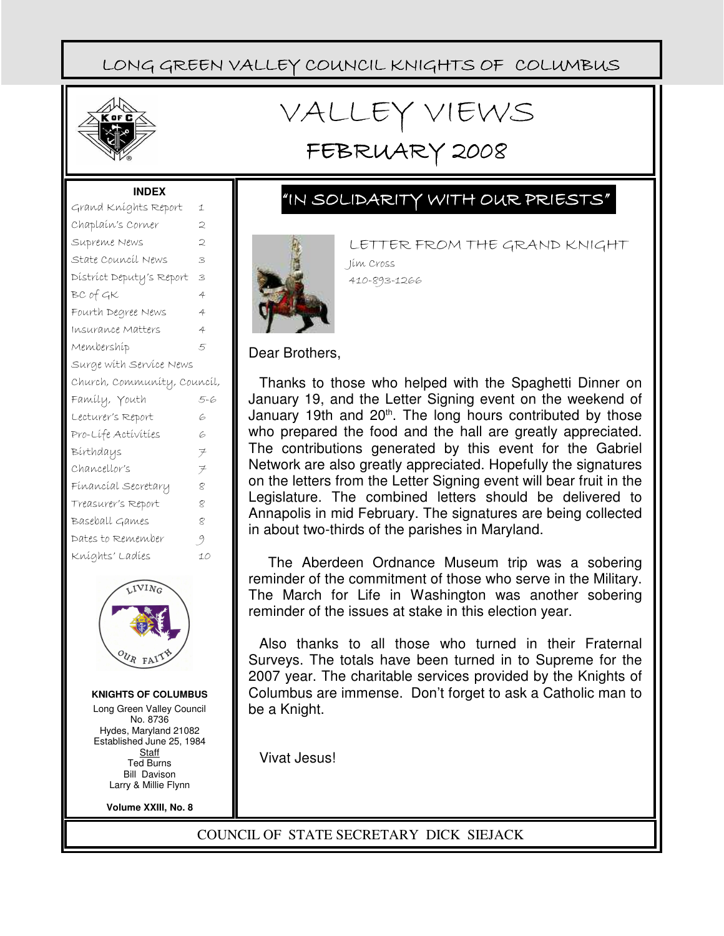

# VALLEY VIEWS

## FEBRUARY 2008

#### **INDEX**

| Grand Kníghts Report        | 1              |  |
|-----------------------------|----------------|--|
| Chaplaín's Corner           | 2              |  |
| Supreme News                | $\overline{C}$ |  |
| State Council News          | 3              |  |
| District Deputy's Report    | 3              |  |
| BC of GK                    | 4              |  |
| Fourth Degree News          | 4              |  |
| Insurance Matters           | 4              |  |
| Membershíp                  | 5              |  |
| Surge with Service News     |                |  |
| Church, Community, Council, |                |  |
| Famíly, Youth               | 5-6            |  |
| Lecturer's Report           | 6              |  |
| Pro-Lífe Actívities         | 6              |  |
| Bírthdays                   | ヲ              |  |
| Chancellor's                | $\neq$         |  |
| Fínancíal Secretary         | $\varphi$      |  |
| Treasurer's Report          | 8              |  |
| Baseball Games              | 2              |  |
| Dates to Remember           | 9              |  |
| Kníghts' Ladíes             | 10             |  |
|                             |                |  |



**KNIGHTS OF COLUMBUS**

Long Green Valley Council No. 8736 Hydes, Maryland 21082 Established June 25, 1984 **Staff** Ted Burns Bill Davison Larry & Millie Flynn

**Volume XXIII, No. 8**

LETTER FROM THE GRAND KNIGHT

"IN SOLIDARITY WITH OUR PRIESTS"



Jim Cross

Dear Brothers,

Thanks to those who helped with the Spaghetti Dinner on January 19, and the Letter Signing event on the weekend of January 19th and  $20<sup>th</sup>$ . The long hours contributed by those who prepared the food and the hall are greatly appreciated. The contributions generated by this event for the Gabriel Network are also greatly appreciated. Hopefully the signatures on the letters from the Letter Signing event will bear fruit in the Legislature. The combined letters should be delivered to Annapolis in mid February. The signatures are being collected in about two-thirds of the parishes in Maryland.

 The Aberdeen Ordnance Museum trip was a sobering reminder of the commitment of those who serve in the Military. The March for Life in Washington was another sobering reminder of the issues at stake in this election year.

Also thanks to all those who turned in their Fraternal Surveys. The totals have been turned in to Supreme for the 2007 year. The charitable services provided by the Knights of Columbus are immense. Don't forget to ask a Catholic man to be a Knight.

Vivat Jesus!

COUNCIL OF STATE SECRETARY DICK SIEJACK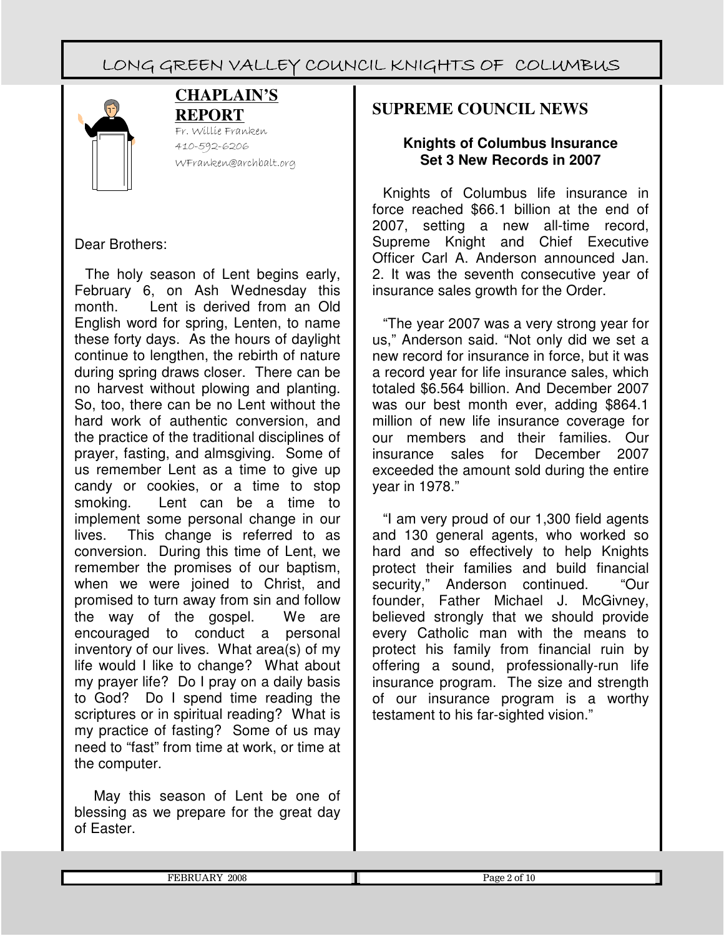

#### **CHAPLAIN'S REPORT**

Fr. Willie Franken 410-592-6206 WFranken@archbalt.org

## Dear Brothers:

The holy season of Lent begins early, February 6, on Ash Wednesday this month. Lent is derived from an Old English word for spring, Lenten, to name these forty days. As the hours of daylight continue to lengthen, the rebirth of nature during spring draws closer. There can be no harvest without plowing and planting. So, too, there can be no Lent without the hard work of authentic conversion, and the practice of the traditional disciplines of prayer, fasting, and almsgiving. Some of us remember Lent as a time to give up candy or cookies, or a time to stop smoking. Lent can be a time to implement some personal change in our lives. This change is referred to as conversion. During this time of Lent, we remember the promises of our baptism, when we were joined to Christ, and promised to turn away from sin and follow the way of the gospel. We are encouraged to conduct a personal inventory of our lives. What area(s) of my life would I like to change? What about my prayer life? Do I pray on a daily basis to God? Do I spend time reading the scriptures or in spiritual reading? What is my practice of fasting? Some of us may need to "fast" from time at work, or time at the computer.

 May this season of Lent be one of blessing as we prepare for the great day of Easter.

## **SUPREME COUNCIL NEWS**

#### **Knights of Columbus Insurance Set 3 New Records in 2007**

Knights of Columbus life insurance in force reached \$66.1 billion at the end of 2007, setting a new all-time record, Supreme Knight and Chief Executive Officer Carl A. Anderson announced Jan. 2. It was the seventh consecutive year of insurance sales growth for the Order.

"The year 2007 was a very strong year for us," Anderson said. "Not only did we set a new record for insurance in force, but it was a record year for life insurance sales, which totaled \$6.564 billion. And December 2007 was our best month ever, adding \$864.1 million of new life insurance coverage for our members and their families. Our insurance sales for December 2007 exceeded the amount sold during the entire year in 1978."

"I am very proud of our 1,300 field agents and 130 general agents, who worked so hard and so effectively to help Knights protect their families and build financial security," Anderson continued. "Our founder, Father Michael J. McGivney, believed strongly that we should provide every Catholic man with the means to protect his family from financial ruin by offering a sound, professionally-run life insurance program. The size and strength of our insurance program is a worthy testament to his far-sighted vision."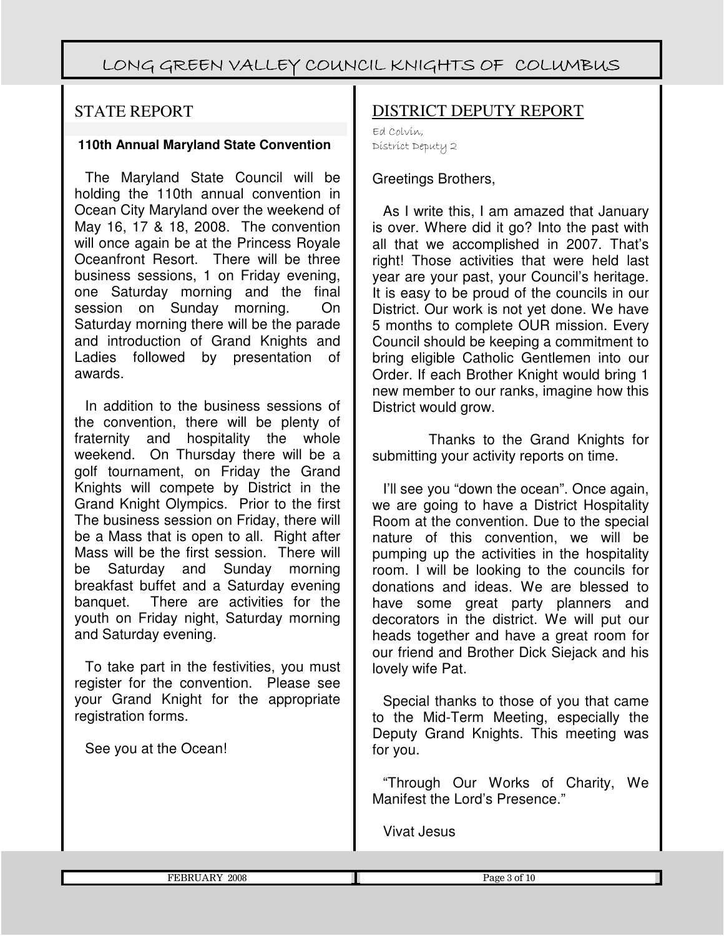## STATE REPORT

#### **110th Annual Maryland State Convention**

The Maryland State Council will be holding the 110th annual convention in Ocean City Maryland over the weekend of May 16, 17 & 18, 2008. The convention will once again be at the Princess Royale Oceanfront Resort. There will be three business sessions, 1 on Friday evening, one Saturday morning and the final session on Sunday morning. On Saturday morning there will be the parade and introduction of Grand Knights and Ladies followed by presentation of awards.

In addition to the business sessions of the convention, there will be plenty of fraternity and hospitality the whole weekend. On Thursday there will be a golf tournament, on Friday the Grand Knights will compete by District in the Grand Knight Olympics. Prior to the first The business session on Friday, there will be a Mass that is open to all. Right after Mass will be the first session. There will be Saturday and Sunday morning breakfast buffet and a Saturday evening banquet. There are activities for the youth on Friday night, Saturday morning and Saturday evening.

To take part in the festivities, you must register for the convention. Please see your Grand Knight for the appropriate registration forms.

See you at the Ocean!

## DISTRICT DEPUTY REPORT

Ed Colvin, District Deputy 2

#### Greetings Brothers,

As I write this, I am amazed that January is over. Where did it go? Into the past with all that we accomplished in 2007. That's right! Those activities that were held last year are your past, your Council's heritage. It is easy to be proud of the councils in our District. Our work is not yet done. We have 5 months to complete OUR mission. Every Council should be keeping a commitment to bring eligible Catholic Gentlemen into our Order. If each Brother Knight would bring 1 new member to our ranks, imagine how this District would grow.

Thanks to the Grand Knights for submitting your activity reports on time.

I'll see you "down the ocean". Once again, we are going to have a District Hospitality Room at the convention. Due to the special nature of this convention, we will be pumping up the activities in the hospitality room. I will be looking to the councils for donations and ideas. We are blessed to have some great party planners and decorators in the district. We will put our heads together and have a great room for our friend and Brother Dick Siejack and his lovely wife Pat.

Special thanks to those of you that came to the Mid-Term Meeting, especially the Deputy Grand Knights. This meeting was for you.

"Through Our Works of Charity, We Manifest the Lord's Presence."

Vivat Jesus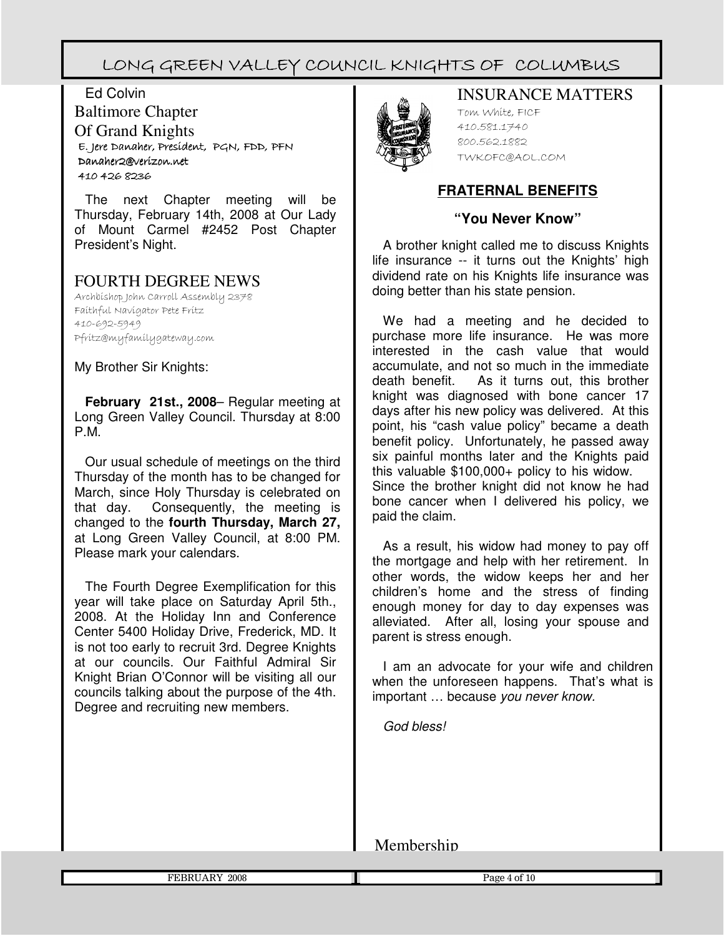Ed Colvin Baltimore Chapter Of Grand Knights E. Jere Jere Danaher, President, Danaher, President, President, PGN, FDD, PFN Danaher2@verizon.net 410 426 8236

The next Chapter meeting will be Thursday, February 14th, 2008 at Our Lady of Mount Carmel #2452 Post Chapter President's Night.

## FOURTH DEGREE NEWS

Archbishop John Carroll Assembly 2378 Faithful Navigator Pete Fritz 410-692-5949 Pfritz@myfamilygateway.com

My Brother Sir Knights:

**February 21st., 2008**– Regular meeting at Long Green Valley Council. Thursday at 8:00 P.M.

Our usual schedule of meetings on the third Thursday of the month has to be changed for March, since Holy Thursday is celebrated on that day. Consequently, the meeting is changed to the **fourth Thursday, March 27,** at Long Green Valley Council, at 8:00 PM. Please mark your calendars.

The Fourth Degree Exemplification for this year will take place on Saturday April 5th., 2008. At the Holiday Inn and Conference Center 5400 Holiday Drive, Frederick, MD. It is not too early to recruit 3rd. Degree Knights at our councils. Our Faithful Admiral Sir Knight Brian O'Connor will be visiting all our councils talking about the purpose of the 4th. Degree and recruiting new members.



#### INSURANCE MATTERS

Tom White, FICF 410.581.1740 800.562.1882 TWKOFC@AOL.COM

#### **FRATERNAL BENEFITS**

#### **"You Never Know"**

A brother knight called me to discuss Knights life insurance -- it turns out the Knights' high dividend rate on his Knights life insurance was doing better than his state pension.

We had a meeting and he decided to purchase more life insurance. He was more interested in the cash value that would accumulate, and not so much in the immediate death benefit. As it turns out, this brother knight was diagnosed with bone cancer 17 days after his new policy was delivered. At this point, his "cash value policy" became a death benefit policy. Unfortunately, he passed away six painful months later and the Knights paid this valuable \$100,000+ policy to his widow. Since the brother knight did not know he had bone cancer when I delivered his policy, we paid the claim.

As a result, his widow had money to pay off the mortgage and help with her retirement. In other words, the widow keeps her and her children's home and the stress of finding enough money for day to day expenses was alleviated. After all, losing your spouse and parent is stress enough.

I am an advocate for your wife and children when the unforeseen happens. That's what is important … because you never know.

God bless!

Membership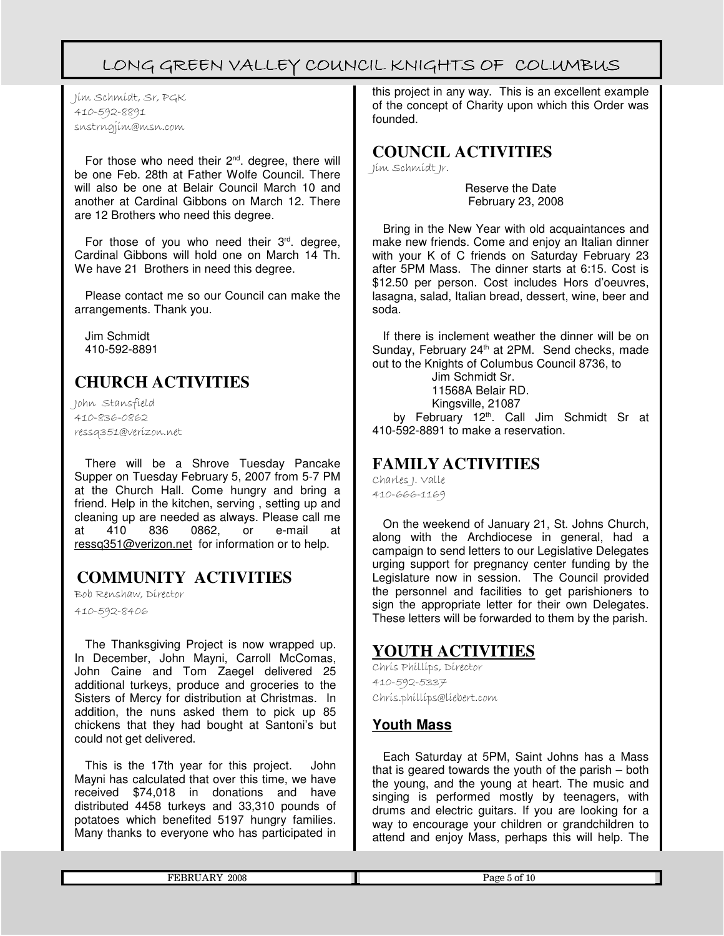Jim Schmidt, Sr, PGK 410-592-8891 snstrngjim@msn.com

For those who need their  $2<sup>nd</sup>$ . degree, there will be one Feb. 28th at Father Wolfe Council. There will also be one at Belair Council March 10 and another at Cardinal Gibbons on March 12. There are 12 Brothers who need this degree.

For those of you who need their  $3<sup>rd</sup>$ . degree, Cardinal Gibbons will hold one on March 14 Th. We have 21 Brothers in need this degree.

Please contact me so our Council can make the arrangements. Thank you.

Jim Schmidt 410-592-8891

## **CHURCH ACTIVITIES**

John Stansfield 410-836-0862 ressq351@verizon.net

There will be a Shrove Tuesday Pancake Supper on Tuesday February 5, 2007 from 5-7 PM at the Church Hall. Come hungry and bring a friend. Help in the kitchen, serving , setting up and cleaning up are needed as always. Please call me<br>at 410 836 0862. or e-mail at at 410 836 0862, or e-mail at ressq351@verizon.net for information or to help.

## **COMMUNITY ACTIVITIES**

Bob Renshaw, Director

410-592-8406

Г

The Thanksgiving Project is now wrapped up. In December, John Mayni, Carroll McComas, John Caine and Tom Zaegel delivered 25 additional turkeys, produce and groceries to the Sisters of Mercy for distribution at Christmas. In addition, the nuns asked them to pick up 85 chickens that they had bought at Santoni's but could not get delivered.

This is the 17th year for this project. John Mayni has calculated that over this time, we have received \$74,018 in donations and have distributed 4458 turkeys and 33,310 pounds of potatoes which benefited 5197 hungry families. Many thanks to everyone who has participated in this project in any way. This is an excellent example of the concept of Charity upon which this Order was founded.

### **COUNCIL ACTIVITIES**

Jim Schmidt Jr.

Reserve the Date February 23, 2008

Bring in the New Year with old acquaintances and make new friends. Come and enjoy an Italian dinner with your K of C friends on Saturday February 23 after 5PM Mass. The dinner starts at 6:15. Cost is \$12.50 per person. Cost includes Hors d'oeuvres, lasagna, salad, Italian bread, dessert, wine, beer and soda.

If there is inclement weather the dinner will be on Sunday, February 24<sup>th</sup> at 2PM. Send checks, made out to the Knights of Columbus Council 8736, to

 Jim Schmidt Sr. 11568A Belair RD. Kingsville, 21087

by February 12<sup>th</sup>. Call Jim Schmidt Sr at 410-592-8891 to make a reservation.

## **FAMILY ACTIVITIES**

Charles J. Valle 410-666-1169

On the weekend of January 21, St. Johns Church, along with the Archdiocese in general, had a campaign to send letters to our Legislative Delegates urging support for pregnancy center funding by the Legislature now in session. The Council provided the personnel and facilities to get parishioners to sign the appropriate letter for their own Delegates. These letters will be forwarded to them by the parish.

## **YOUTH ACTIVITIES**

Chris Phillips, Director 410-592-5337 Chris.phillips@liebert.com

#### **Youth Mass**

Each Saturday at 5PM, Saint Johns has a Mass that is geared towards the youth of the parish – both the young, and the young at heart. The music and singing is performed mostly by teenagers, with drums and electric guitars. If you are looking for a way to encourage your children or grandchildren to attend and enjoy Mass, perhaps this will help. The

| 2008<br>м<br>п. | .<br>n,<br>⊿ur<br>.<br>. |
|-----------------|--------------------------|
|                 |                          |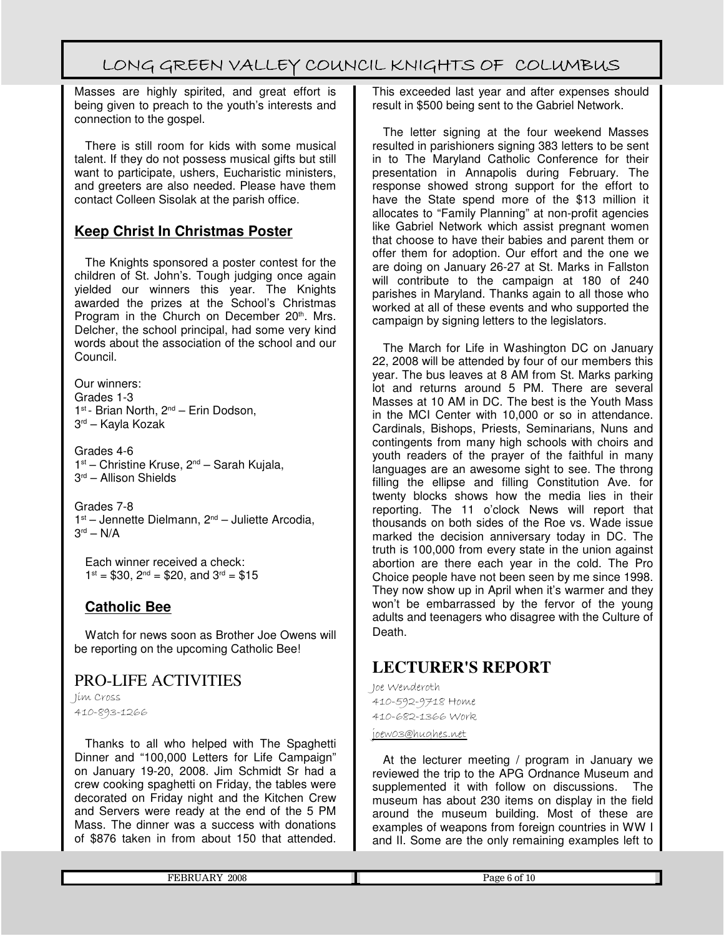Masses are highly spirited, and great effort is being given to preach to the youth's interests and connection to the gospel.

There is still room for kids with some musical talent. If they do not possess musical gifts but still want to participate, ushers, Eucharistic ministers, and greeters are also needed. Please have them contact Colleen Sisolak at the parish office.

## **Keep Christ In Christmas Poster**

The Knights sponsored a poster contest for the children of St. John's. Tough judging once again yielded our winners this year. The Knights awarded the prizes at the School's Christmas Program in the Church on December 20<sup>th</sup>. Mrs. Delcher, the school principal, had some very kind words about the association of the school and our Council.

Our winners: Grades 1-3 1 st - Brian North, 2nd – Erin Dodson, 3 rd – Kayla Kozak

Grades 4-6 1<sup>st</sup> – Christine Kruse, 2<sup>nd</sup> – Sarah Kujala, 3 rd – Allison Shields

Grades 7-8 1<sup>st</sup> – Jennette Dielmann, 2<sup>nd</sup> – Juliette Arcodia, 3 rd – N/A

Each winner received a check:  $1^{st} = $30$ ,  $2^{nd} = $20$ , and  $3^{rd} = $15$ 

#### **Catholic Bee**

Watch for news soon as Brother Joe Owens will be reporting on the upcoming Catholic Bee!

## PRO-LIFE ACTIVITIES

Jim Cross 410-893-1266

Thanks to all who helped with The Spaghetti Dinner and "100,000 Letters for Life Campaign" on January 19-20, 2008. Jim Schmidt Sr had a crew cooking spaghetti on Friday, the tables were decorated on Friday night and the Kitchen Crew and Servers were ready at the end of the 5 PM Mass. The dinner was a success with donations of \$876 taken in from about 150 that attended.

This exceeded last year and after expenses should result in \$500 being sent to the Gabriel Network.

The letter signing at the four weekend Masses resulted in parishioners signing 383 letters to be sent in to The Maryland Catholic Conference for their presentation in Annapolis during February. The response showed strong support for the effort to have the State spend more of the \$13 million it allocates to "Family Planning" at non-profit agencies like Gabriel Network which assist pregnant women that choose to have their babies and parent them or offer them for adoption. Our effort and the one we are doing on January 26-27 at St. Marks in Fallston will contribute to the campaign at 180 of 240 parishes in Maryland. Thanks again to all those who worked at all of these events and who supported the campaign by signing letters to the legislators.

The March for Life in Washington DC on January 22, 2008 will be attended by four of our members this year. The bus leaves at 8 AM from St. Marks parking lot and returns around 5 PM. There are several Masses at 10 AM in DC. The best is the Youth Mass in the MCI Center with 10,000 or so in attendance. Cardinals, Bishops, Priests, Seminarians, Nuns and contingents from many high schools with choirs and youth readers of the prayer of the faithful in many languages are an awesome sight to see. The throng filling the ellipse and filling Constitution Ave. for twenty blocks shows how the media lies in their reporting. The 11 o'clock News will report that thousands on both sides of the Roe vs. Wade issue marked the decision anniversary today in DC. The truth is 100,000 from every state in the union against abortion are there each year in the cold. The Pro Choice people have not been seen by me since 1998. They now show up in April when it's warmer and they won't be embarrassed by the fervor of the young adults and teenagers who disagree with the Culture of Death.

## **LECTURER'S REPORT**

Joe Wenderoth 410-592-9718 Home 410-682-1366 Work

joew03@hughes.net

At the lecturer meeting / program in January we reviewed the trip to the APG Ordnance Museum and supplemented it with follow on discussions. The museum has about 230 items on display in the field around the museum building. Most of these are examples of weapons from foreign countries in WW I and II. Some are the only remaining examples left to

|  | 2008<br>гг<br>nт<br>. | <br>. .<br>_____ |
|--|-----------------------|------------------|
|--|-----------------------|------------------|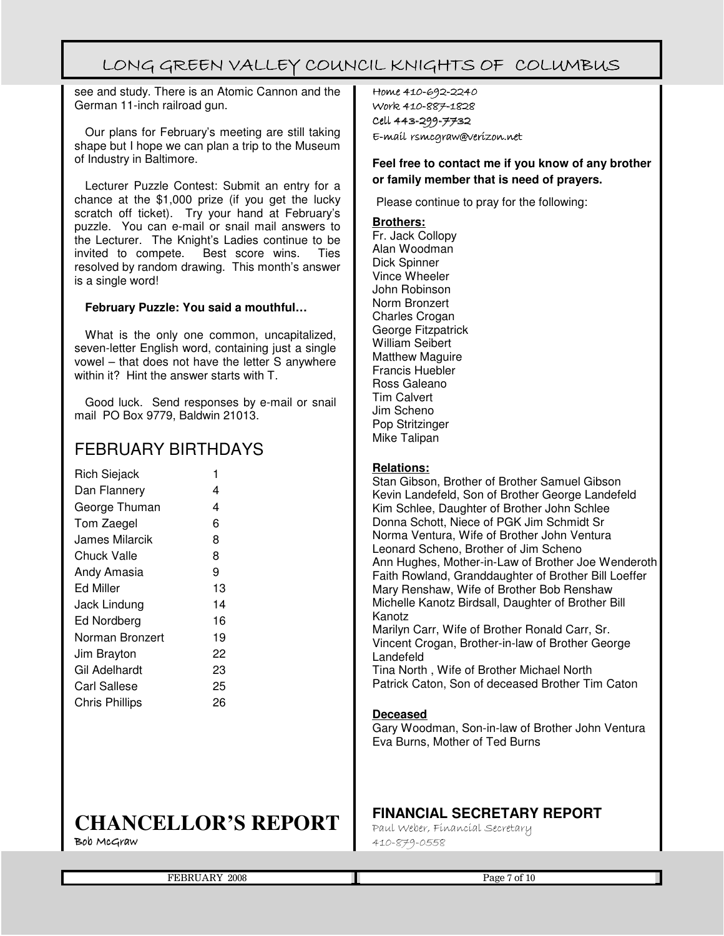see and study. There is an Atomic Cannon and the German 11-inch railroad gun.

Our plans for February's meeting are still taking shape but I hope we can plan a trip to the Museum of Industry in Baltimore.

Lecturer Puzzle Contest: Submit an entry for a chance at the \$1,000 prize (if you get the lucky scratch off ticket). Try your hand at February's puzzle. You can e-mail or snail mail answers to the Lecturer. The Knight's Ladies continue to be invited to compete. Best score wins. Ties resolved by random drawing. This month's answer is a single word!

#### **February Puzzle: You said a mouthful…**

What is the only one common, uncapitalized, seven-letter English word, containing just a single vowel – that does not have the letter S anywhere within it? Hint the answer starts with T.

Good luck. Send responses by e-mail or snail mail PO Box 9779, Baldwin 21013.

## FEBRUARY BIRTHDAYS

| <b>Rich Siejack</b>   | 1  |
|-----------------------|----|
| Dan Flannery          | 4  |
| George Thuman         | 4  |
| Tom Zaegel            | 6  |
| James Milarcik        | 8  |
| Chuck Valle           | 8  |
| Andy Amasia           | 9  |
| <b>Ed Miller</b>      | 13 |
| <b>Jack Lindung</b>   | 14 |
| Ed Nordberg           | 16 |
| Norman Bronzert       | 19 |
| Jim Brayton           | 22 |
| Gil Adelhardt         | 23 |
| Carl Sallese          | 25 |
| <b>Chris Phillips</b> | 26 |
|                       |    |

## **CHANCELLOR'S REPORT**

 $Bob$  McGraw

Home 410-692-2240 Work 410-887-1828 Cell 443-299-7732 E-mail rsmcgraw@verizon.net

#### **Feel free to contact me if you know of any brother or family member that is need of prayers.**

Please continue to pray for the following:

#### **Brothers:**

Fr. Jack Collopy Alan Woodman Dick Spinner Vince Wheeler John Robinson Norm Bronzert Charles Crogan George Fitzpatrick William Seibert Matthew Maguire Francis Huebler Ross Galeano Tim Calvert Jim Scheno Pop Stritzinger Mike Talipan

#### **Relations:**

Stan Gibson, Brother of Brother Samuel Gibson Kevin Landefeld, Son of Brother George Landefeld Kim Schlee, Daughter of Brother John Schlee Donna Schott, Niece of PGK Jim Schmidt Sr Norma Ventura, Wife of Brother John Ventura Leonard Scheno, Brother of Jim Scheno Ann Hughes, Mother-in-Law of Brother Joe Wenderoth Faith Rowland, Granddaughter of Brother Bill Loeffer Mary Renshaw, Wife of Brother Bob Renshaw Michelle Kanotz Birdsall, Daughter of Brother Bill Kanotz Marilyn Carr, Wife of Brother Ronald Carr, Sr. Vincent Crogan, Brother-in-law of Brother George Landefeld Tina North , Wife of Brother Michael North Patrick Caton, Son of deceased Brother Tim Caton

#### **Deceased**

Gary Woodman, Son-in-law of Brother John Ventura Eva Burns, Mother of Ted Burns

## **FINANCIAL SECRETARY REPORT**

Paul Weber, Financial Secretary 410-879-0558

| 2008<br>DJ.<br>FЬ<br>חר | -01<br>Page |
|-------------------------|-------------|
|                         | ΨU          |
|                         |             |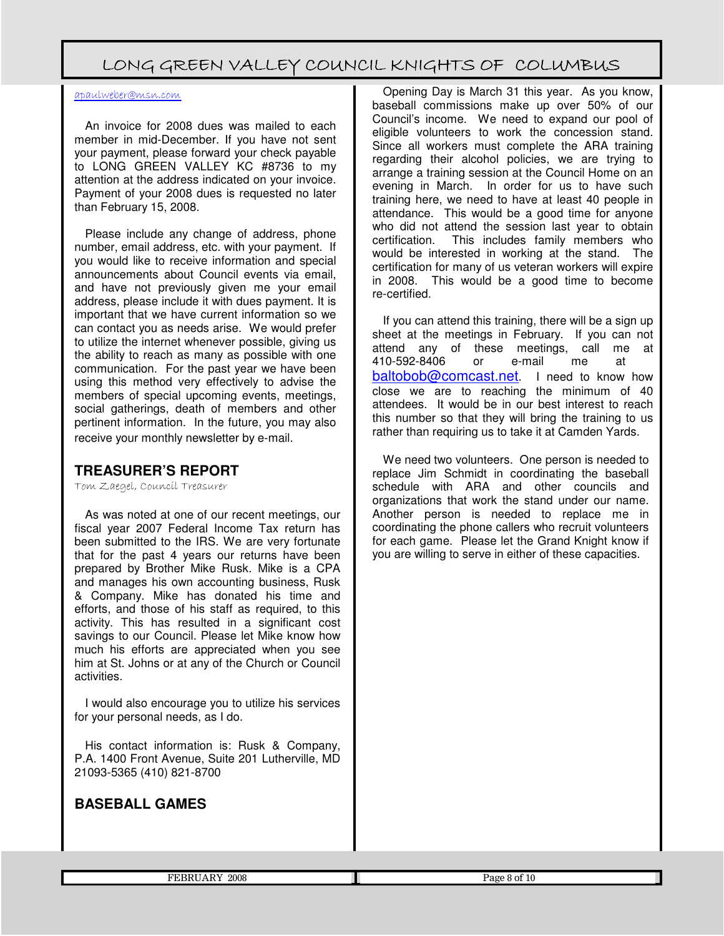#### apaulweber@msn.com

An invoice for 2008 dues was mailed to each member in mid-December. If you have not sent your payment, please forward your check payable to LONG GREEN VALLEY KC #8736 to my attention at the address indicated on your invoice. Payment of your 2008 dues is requested no later than February 15, 2008.

Please include any change of address, phone number, email address, etc. with your payment. If you would like to receive information and special announcements about Council events via email, and have not previously given me your email address, please include it with dues payment. It is important that we have current information so we can contact you as needs arise. We would prefer to utilize the internet whenever possible, giving us the ability to reach as many as possible with one communication. For the past year we have been using this method very effectively to advise the members of special upcoming events, meetings, social gatherings, death of members and other pertinent information. In the future, you may also receive your monthly newsletter by e-mail.

#### **TREASURER'S REPORT**

Tom Zaegel, Council Treasurer

As was noted at one of our recent meetings, our fiscal year 2007 Federal Income Tax return has been submitted to the IRS. We are very fortunate that for the past 4 years our returns have been prepared by Brother Mike Rusk. Mike is a CPA and manages his own accounting business, Rusk & Company. Mike has donated his time and efforts, and those of his staff as required, to this activity. This has resulted in a significant cost savings to our Council. Please let Mike know how much his efforts are appreciated when you see him at St. Johns or at any of the Church or Council activities.

I would also encourage you to utilize his services for your personal needs, as I do.

His contact information is: Rusk & Company, P.A. 1400 Front Avenue, Suite 201 Lutherville, MD 21093-5365 (410) 821-8700

#### **BASEBALL GAMES**

Opening Day is March 31 this year. As you know, baseball commissions make up over 50% of our Council's income. We need to expand our pool of eligible volunteers to work the concession stand. Since all workers must complete the ARA training regarding their alcohol policies, we are trying to arrange a training session at the Council Home on an evening in March. In order for us to have such training here, we need to have at least 40 people in attendance. This would be a good time for anyone who did not attend the session last year to obtain certification. This includes family members who would be interested in working at the stand. The certification for many of us veteran workers will expire in 2008. This would be a good time to become re-certified.

If you can attend this training, there will be a sign up sheet at the meetings in February. If you can not attend any of these meetings, call me at 410-592-8406 or e-mail me at baltobob@comcast.net. I need to know how close we are to reaching the minimum of 40 attendees. It would be in our best interest to reach this number so that they will bring the training to us rather than requiring us to take it at Camden Yards.

We need two volunteers. One person is needed to replace Jim Schmidt in coordinating the baseball schedule with ARA and other councils and organizations that work the stand under our name. Another person is needed to replace me in coordinating the phone callers who recruit volunteers for each game. Please let the Grand Knight know if you are willing to serve in either of these capacities.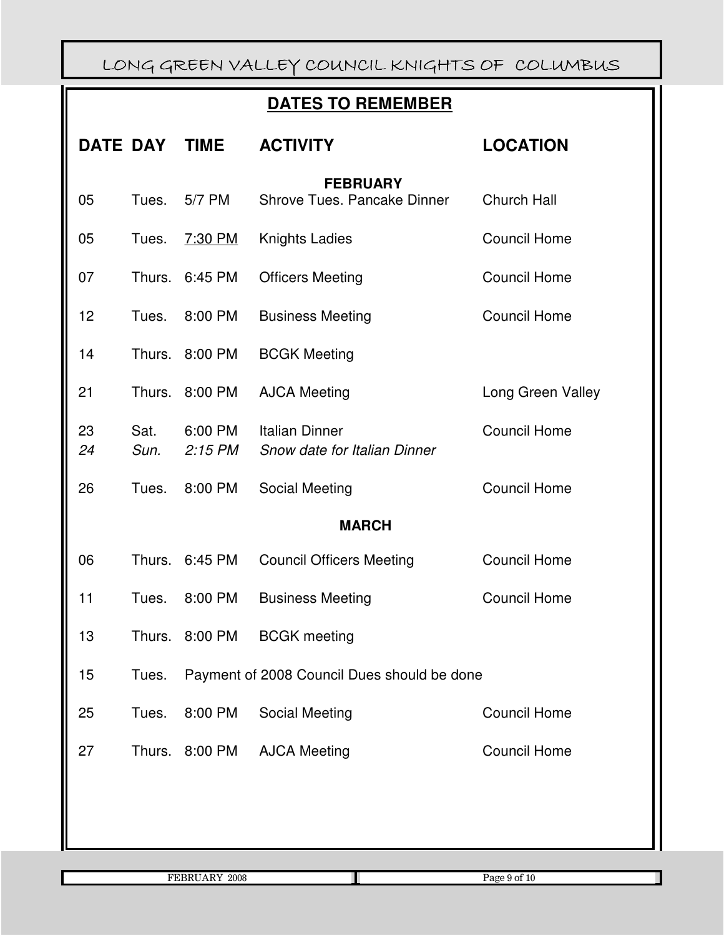## **DATES TO REMEMBER**

|          | <b>DATE DAY</b> | <b>TIME</b>          | <b>ACTIVITY</b>                                       | <b>LOCATION</b>     |
|----------|-----------------|----------------------|-------------------------------------------------------|---------------------|
| 05       | Tues.           | 5/7 PM               | <b>FEBRUARY</b><br>Shrove Tues. Pancake Dinner        | Church Hall         |
|          |                 |                      |                                                       |                     |
| 05       | Tues.           | 7:30 PM              | <b>Knights Ladies</b>                                 | <b>Council Home</b> |
| 07       | Thurs.          | 6:45 PM              | <b>Officers Meeting</b>                               | <b>Council Home</b> |
| 12       | Tues.           | 8:00 PM              | <b>Business Meeting</b>                               | <b>Council Home</b> |
| 14       | Thurs.          | 8:00 PM              | <b>BCGK Meeting</b>                                   |                     |
| 21       | Thurs.          | 8:00 PM              | <b>AJCA Meeting</b>                                   | Long Green Valley   |
| 23<br>24 | Sat.<br>Sun.    | 6:00 PM<br>$2:15$ PM | <b>Italian Dinner</b><br>Snow date for Italian Dinner | <b>Council Home</b> |
| 26       | Tues.           | 8:00 PM              | Social Meeting                                        | <b>Council Home</b> |
|          |                 |                      | <b>MARCH</b>                                          |                     |
| 06       | Thurs.          | 6:45 PM              | <b>Council Officers Meeting</b>                       | <b>Council Home</b> |
| 11       | Tues.           | 8:00 PM              | <b>Business Meeting</b>                               | <b>Council Home</b> |
| 13       | Thurs.          | 8:00 PM              | <b>BCGK</b> meeting                                   |                     |
| 15       | Tues.           |                      | Payment of 2008 Council Dues should be done           |                     |
| 25       | Tues.           | 8:00 PM              | <b>Social Meeting</b>                                 | <b>Council Home</b> |
| 27       | Thurs.          | 8:00 PM              | <b>AJCA Meeting</b>                                   | <b>Council Home</b> |
|          |                 |                      |                                                       |                     |
|          |                 |                      |                                                       |                     |

FEBRUARY 2008 Page 9 of 10